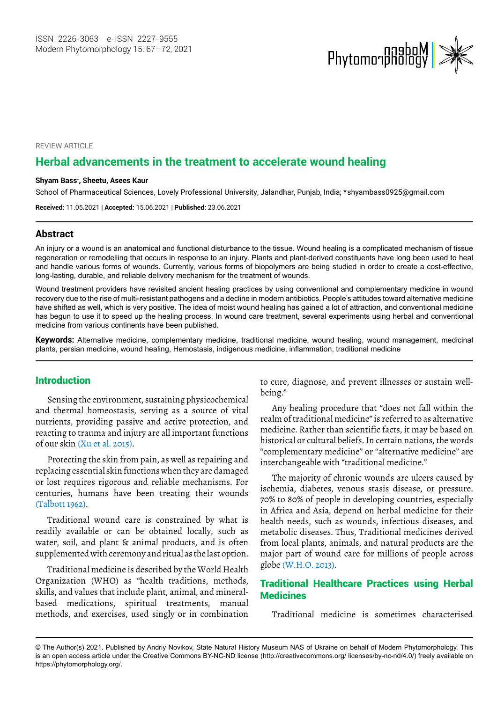

REVIEW ARTICLE

# **Herbal advancements in the treatment to accelerate wound healing**

#### **Shyam Bass\* , Sheetu, Asees Kaur**

School of Pharmaceutical Sciences, Lovely Professional University, Jalandhar, Punjab, India; \*shyambass0925@gmail.com

**Received:** 11.05.2021 | **Accepted:** 15.06.2021 | **Published:** 23.06.2021

### **Abstract**

An injury or a wound is an anatomical and functional disturbance to the tissue. Wound healing is a complicated mechanism of tissue regeneration or remodelling that occurs in response to an injury. Plants and plant-derived constituents have long been used to heal and handle various forms of wounds. Currently, various forms of biopolymers are being studied in order to create a cost-effective, long-lasting, durable, and reliable delivery mechanism for the treatment of wounds.

Wound treatment providers have revisited ancient healing practices by using conventional and complementary medicine in wound recovery due to the rise of multi-resistant pathogens and a decline in modern antibiotics. People's attitudes toward alternative medicine have shifted as well, which is very positive. The idea of moist wound healing has gained a lot of attraction, and conventional medicine has begun to use it to speed up the healing process. In wound care treatment, several experiments using herbal and conventional medicine from various continents have been published.

**Keywords:** Alternative medicine, complementary medicine, traditional medicine, wound healing, wound management, medicinal plants, persian medicine, wound healing, Hemostasis, indigenous medicine, inflammation, traditional medicine

## Introduction

Sensing the environment, sustaining physicochemical and thermal homeostasis, serving as a source of vital nutrients, providing passive and active protection, and reacting to trauma and injury are all important functions of our skin (Xu et al. 2015).

Protecting the skin from pain, as well as repairing and replacing essential skin functions when they are damaged or lost requires rigorous and reliable mechanisms. For centuries, humans have been treating their wounds (Talbott 1962).

Traditional wound care is constrained by what is readily available or can be obtained locally, such as water, soil, and plant & animal products, and is often supplemented with ceremony and ritual as the last option.

Traditional medicine is described by the World Health Organization (WHO) as "health traditions, methods, skills, and values that include plant, animal, and mineralbased medications, spiritual treatments, manual methods, and exercises, used singly or in combination

to cure, diagnose, and prevent illnesses or sustain wellbeing."

Any healing procedure that "does not fall within the realm of traditional medicine" is referred to as alternative medicine. Rather than scientific facts, it may be based on historical or cultural beliefs. In certain nations, the words "complementary medicine" or "alternative medicine" are interchangeable with "traditional medicine."

The majority of chronic wounds are ulcers caused by ischemia, diabetes, venous stasis disease, or pressure. 70% to 80% of people in developing countries, especially in Africa and Asia, depend on herbal medicine for their health needs, such as wounds, infectious diseases, and metabolic diseases. Thus, Traditional medicines derived from local plants, animals, and natural products are the major part of wound care for millions of people across globe (W.H.O. 2013).

## Traditional Healthcare Practices using Herbal **Medicines**

Traditional medicine is sometimes characterised

<sup>©</sup> The Author(s) 2021. Published by Andriy Novikov, State Natural History Museum NAS of Ukraine on behalf of Modern Phytomorphology. This is an open access article under the Creative Commons BY-NC-ND license (http://creativecommons.org/ licenses/by-nc-nd/4.0/) freely available on https://phytomorphology.org/.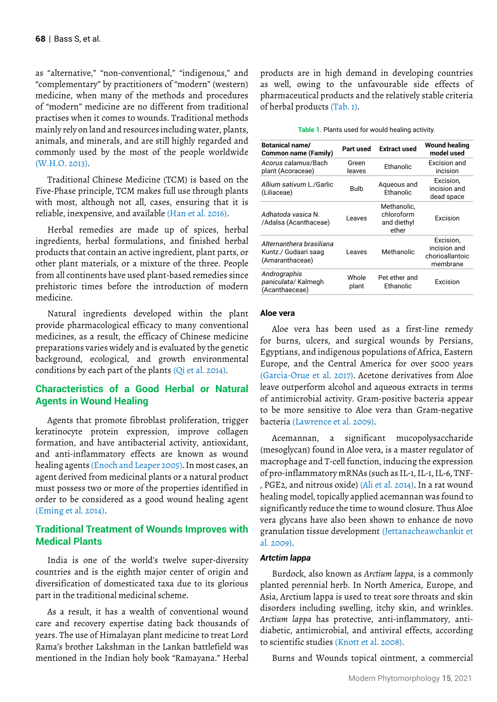as "alternative," "non-conventional," "indigenous," and "complementary" by practitioners of "modern" (western) medicine, when many of the methods and procedures of "modern" medicine are no different from traditional practises when it comes to wounds. Traditional methods mainly rely on land and resources including water, plants, animals, and minerals, and are still highly regarded and commonly used by the most of the people worldwide (W.H.O. 2013).

Traditional Chinese Medicine (TCM) is based on the Five-Phase principle, TCM makes full use through plants with most, although not all, cases, ensuring that it is reliable, inexpensive, and available (Han et al. 2016).

Herbal remedies are made up of spices, herbal ingredients, herbal formulations, and finished herbal products that contain an active ingredient, plant parts, or other plant materials, or a mixture of the three. People from all continents have used plant-based remedies since prehistoric times before the introduction of modern medicine.

Natural ingredients developed within the plant provide pharmacological efficacy to many conventional medicines, as a result, the efficacy of Chinese medicine preparations varies widely and is evaluated by the genetic background, ecological, and growth environmental conditions by each part of the plants (Qi et al. 2014).

## **Characteristics of a Good Herbal or Natural Agents in Wound Healing**

Agents that promote fibroblast proliferation, trigger keratinocyte protein expression, improve collagen formation, and have antibacterial activity, antioxidant, and anti-inflammatory effects are known as wound healing agents (Enoch and Leaper 2005). In most cases, an agent derived from medicinal plants or a natural product must possess two or more of the properties identified in order to be considered as a good wound healing agent (Eming et al. 2014).

## **Traditional Treatment of Wounds Improves with Medical Plants**

India is one of the world's twelve super-diversity countries and is the eighth major center of origin and diversification of domesticated taxa due to its glorious part in the traditional medicinal scheme.

As a result, it has a wealth of conventional wound care and recovery expertise dating back thousands of years. The use of Himalayan plant medicine to treat Lord Rama's brother Lakshman in the Lankan battlefield was mentioned in the Indian holy book "Ramayana." Herbal products are in high demand in developing countries as well, owing to the unfavourable side effects of pharmaceutical products and the relatively stable criteria of herbal products (Tab. 1).

| Table 1. Plants used for would healing activity. |  |
|--------------------------------------------------|--|
|--------------------------------------------------|--|

| Botanical name/<br><b>Common name (Family)</b>                      | Part used       | <b>Extract used</b>                               | <b>Wound healing</b><br>model used                       |
|---------------------------------------------------------------------|-----------------|---------------------------------------------------|----------------------------------------------------------|
| Acorus calamus/Bach<br>plant (Acoraceae)                            | Green<br>leaves | Ethanolic                                         | Excision and<br>incision                                 |
| Allium sativum L./Garlic<br>(Liliaceae)                             | Bulb            | Aqueous and<br><b>Fthanolic</b>                   | Excision,<br>incision and<br>dead space                  |
| Adhatoda vasica N.<br>/Adalsa (Acanthaceae)                         | Leaves          | Methanolic,<br>chloroform<br>and diethyl<br>ether | Excision                                                 |
| Alternanthera brasiliana<br>Kuntz./ Gudaari saag<br>(Amaranthaceae) | Leaves          | Methanolic                                        | Excision,<br>incision and<br>chorioallantoic<br>membrane |
| Andrographis<br>paniculata/ Kalmegh<br>(Acanthaeceae)               | Whole<br>plant  | Pet ether and<br>Ethanolic                        | Excision                                                 |

#### **Aloe vera**

Aloe vera has been used as a first-line remedy for burns, ulcers, and surgical wounds by Persians, Egyptians, and indigenous populations of Africa, Eastern Europe, and the Central America for over 5000 years (Garcia-Orue et al. 2017). Acetone derivatives from Aloe leave outperform alcohol and aqueous extracts in terms of antimicrobial activity. Gram-positive bacteria appear to be more sensitive to Aloe vera than Gram-negative bacteria (Lawrence et al. 2009).

Acemannan, a significant mucopolysaccharide (mesoglycan) found in Aloe vera, is a master regulator of macrophage and T-cell function, inducing the expression of pro-inflammatory mRNAs (such as IL-1, IL-1, IL-6, TNF- , PGE2, and nitrous oxide) (Ali et al. 2014). In a rat wound healing model, topically applied acemannan was found to significantly reduce the time to wound closure. Thus Aloe vera glycans have also been shown to enhance de novo granulation tissue development (Jettanacheawchankit et al. 2009).

### *Artctim lappa*

Burdock, also known as *Arctium lappa*, is a commonly planted perennial herb. In North America, Europe, and Asia, Arctium lappa is used to treat sore throats and skin disorders including swelling, itchy skin, and wrinkles. *Arctium lappa* has protective, anti-inflammatory, antidiabetic, antimicrobial, and antiviral effects, according to scientific studies (Knott et al. 2008).

Burns and Wounds topical ointment, a commercial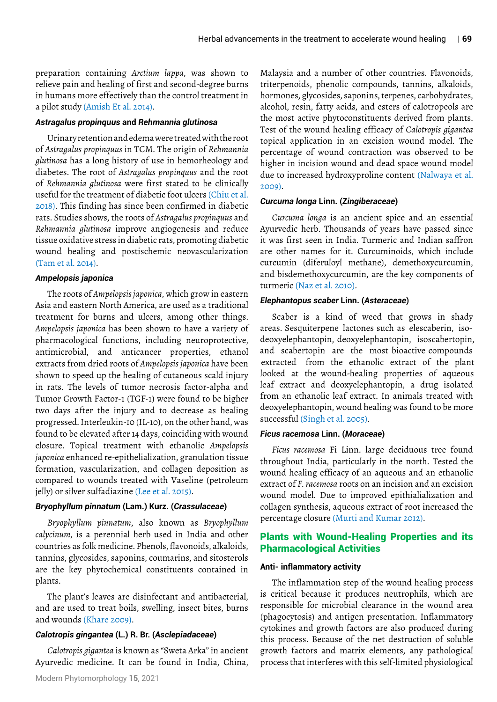preparation containing *Arctium lappa*, was shown to relieve pain and healing of first and second-degree burns in humans more effectively than the control treatment in a pilot study (Amish Et al. 2014).

#### *Astragalus propinquus* **and** *Rehmannia glutinosa*

Urinary retention and edema were treated with the root of *Astragalus propinquus* in TCM. The origin of *Rehmannia glutinosa* has a long history of use in hemorheology and diabetes. The root of *Astragalus propinquus* and the root of *Rehmannia glutinosa* were first stated to be clinically useful for the treatment of diabetic foot ulcers (Chiu et al. 2018). This finding has since been confirmed in diabetic rats. Studies shows, the roots of *Astragalus propinquus* and *Rehmannia glutinosa* improve angiogenesis and reduce tissue oxidative stress in diabetic rats, promoting diabetic wound healing and postischemic neovascularization (Tam et al. 2014).

#### *Ampelopsis japonica*

The roots of *Ampelopsis japonica*, which grow in eastern Asia and eastern North America, are used as a traditional treatment for burns and ulcers, among other things. *Ampelopsis japonica* has been shown to have a variety of pharmacological functions, including neuroprotective, antimicrobial, and anticancer properties, ethanol extracts from dried roots of *Ampelopsis japonica* have been shown to speed up the healing of cutaneous scald injury in rats. The levels of tumor necrosis factor-alpha and Tumor Growth Factor-1 (TGF-1) were found to be higher two days after the injury and to decrease as healing progressed. Interleukin-10 (IL-10), on the other hand, was found to be elevated after 14 days, coinciding with wound closure. Topical treatment with ethanolic *Ampelopsis japonica* enhanced re-epithelialization, granulation tissue formation, vascularization, and collagen deposition as compared to wounds treated with Vaseline (petroleum jelly) or silver sulfadiazine (Lee et al. 2015).

#### *Bryophyllum pinnatum* **(Lam.) Kurz. (***Crassulaceae***)**

*Bryophyllum pinnatum*, also known as *Bryophyllum calycinum*, is a perennial herb used in India and other countries as folk medicine. Phenols, flavonoids, alkaloids, tannins, glycosides, saponins, coumarins, and sitosterols are the key phytochemical constituents contained in plants.

The plant's leaves are disinfectant and antibacterial, and are used to treat boils, swelling, insect bites, burns and wounds (Khare 2009).

### *Calotropis gingantea* **(L.) R. Br. (***Asclepiadaceae***)**

*Calotropis gigantea* is known as "Sweta Arka" in ancient Ayurvedic medicine. It can be found in India, China,

Malaysia and a number of other countries. Flavonoids, triterpenoids, phenolic compounds, tannins, alkaloids, hormones, glycosides, saponins, terpenes, carbohydrates, alcohol, resin, fatty acids, and esters of calotropeols are the most active phytoconstituents derived from plants. Test of the wound healing efficacy of *Calotropis gigantea* topical application in an excision wound model. The percentage of wound contraction was observed to be higher in incision wound and dead space wound model due to increased hydroxyproline content (Nalwaya et al. 2009).

#### *Curcuma longa* **Linn. (***Zingiberaceae***)**

*Curcuma longa* is an ancient spice and an essential Ayurvedic herb. Thousands of years have passed since it was first seen in India. Turmeric and Indian saffron are other names for it. Curcuminoids, which include curcumin (diferuloyl methane), demethoxycurcumin, and bisdemethoxycurcumin, are the key components of turmeric (Naz et al. 2010).

#### *Elephantopus scaber* **Linn. (***Asteraceae***)**

Scaber is a kind of weed that grows in shady looked at the wound-healing properties of aqueous leaf extract and deoxyelephantopin, a drug isolated from an ethanolic leaf extract. In animals treated with deoxyelephantopin, wound healing was found to be more successful (Singh et al. 2005). deoxyelephantopin, deoxyelephantopin, isoscabertopin, and scabertopin are the most bioactive compounds areas. Sesquiterpene lactones such as elescaberin, isoextracted from the ethanolic extract of the plant

### *Ficus racemosa* **Linn. (***Moraceae***)**

*Ficus racemosa* Fi Linn. large deciduous tree found throughout India, particularly in the north. Tested the wound healing efficacy of an aqueous and an ethanolic extract of *F. racemosa* roots on an incision and an excision wound model. Due to improved epithialialization and collagen synthesis, aqueous extract of root increased the percentage closure (Murti and Kumar 2012).

## Plants with Wound-Healing Properties and its Pharmacological Activities

#### **Anti- inflammatory activity**

The inflammation step of the wound healing process is critical because it produces neutrophils, which are responsible for microbial clearance in the wound area (phagocytosis) and antigen presentation. Inflammatory cytokines and growth factors are also produced during this process. Because of the net destruction of soluble growth factors and matrix elements, any pathological process that interferes with this self-limited physiological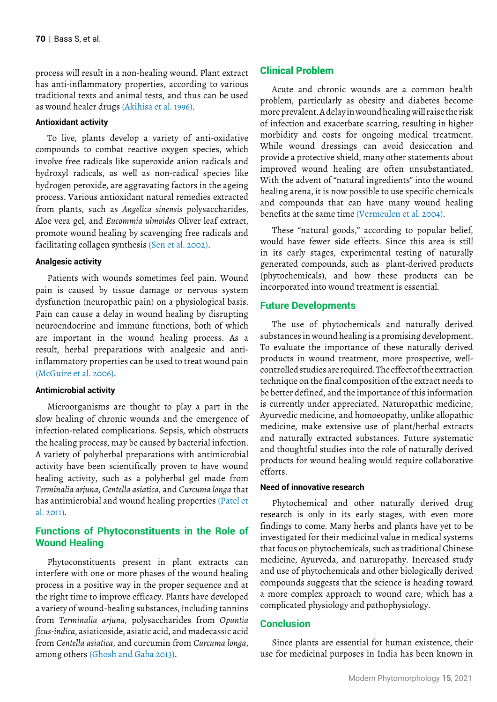process will result in a non-healing wound. Plant extract has anti-inflammatory properties, according to various traditional texts and animal tests, and thus can be used as wound healer drugs (Akihisa et al. 1996).

### **Antioxidant activity**

To live, plants develop a variety of anti-oxidative compounds to combat reactive oxygen species, which involve free radicals like superoxide anion radicals and hydroxyl radicals, as well as non-radical species like hydrogen peroxide, are aggravating factors in the ageing process. Various antioxidant natural remedies extracted from plants, such as *Angelica sinensis* polysaccharides, Aloe vera gel, and *Eucommia ulmoides* Oliver leaf extract, promote wound healing by scavenging free radicals and facilitating collagen synthesis (Sen et al. 2002).

### **Analgesic activity**

Patients with wounds sometimes feel pain. Wound pain is caused by tissue damage or nervous system dysfunction (neuropathic pain) on a physiological basis. Pain can cause a delay in wound healing by disrupting neuroendocrine and immune functions, both of which are important in the wound healing process. As a result, herbal preparations with analgesic and antiinflammatory properties can be used to treat wound pain (McGuire et al. 2006).

#### **Antimicrobial activity**

Microorganisms are thought to play a part in the slow healing of chronic wounds and the emergence of infection-related complications. Sepsis, which obstructs the healing process, may be caused by bacterial infection. A variety of polyherbal preparations with antimicrobial activity have been scientifically proven to have wound healing activity, such as a polyherbal gel made from *Terminalia arjuna*, *Centella asiatica*, and *Curcuma longa* that has antimicrobial and wound healing properties (Patel et al. 2011).

## **Functions of Phytoconstituents in the Role of Wound Healing**

Phytoconstituents present in plant extracts can interfere with one or more phases of the wound healing process in a positive way in the proper sequence and at the right time to improve efficacy. Plants have developed a variety of wound-healing substances, including tannins from *Terminalia arjuna*, polysaccharides from *Opuntia ficus-indica*, asiaticoside, asiatic acid, and madecassic acid from *Centella asiatica*, and curcumin from *Curcuma longa*, among others (Ghosh and Gaba 2013).

## Clinical Problem

Acute and chronic wounds are a common health problem, particularly as obesity and diabetes become more prevalent. A delay in wound healing will raise the risk of infection and exacerbate scarring, resulting in higher morbidity and costs for ongoing medical treatment. While wound dressings can avoid desiccation and provide a protective shield, many other statements about improved wound healing are often unsubstantiated. With the advent of "natural ingredients" into the wound healing arena, it is now possible to use specific chemicals and compounds that can have many wound healing benefits at the same time (Vermeulen et al. 2004).

These "natural goods," according to popular belief, would have fewer side effects. Since this area is still in its early stages, experimental testing of naturally generated compounds, such as plant-derived products (phytochemicals), and how these products can be incorporated into wound treatment is essential.

### **Future Developments**

The use of phytochemicals and naturally derived substances in wound healing is a promising development. To evaluate the importance of these naturally derived products in wound treatment, more prospective, wellcontrolled studies are required. The effect of the extraction technique on the final composition of the extract needs to be better defined, and the importance of this information is currently under appreciated. Naturopathic medicine, Ayurvedic medicine, and homoeopathy, unlike allopathic medicine, make extensive use of plant/herbal extracts and naturally extracted substances. Future systematic and thoughtful studies into the role of naturally derived products for wound healing would require collaborative efforts.

### **Need of innovative research**

Phytochemical and other naturally derived drug research is only in its early stages, with even more findings to come. Many herbs and plants have yet to be investigated for their medicinal value in medical systems that focus on phytochemicals, such as traditional Chinese medicine, Ayurveda, and naturopathy. Increased study and use of phytochemicals and other biologically derived compounds suggests that the science is heading toward a more complex approach to wound care, which has a complicated physiology and pathophysiology.

### **Conclusion**

Since plants are essential for human existence, their use for medicinal purposes in India has been known in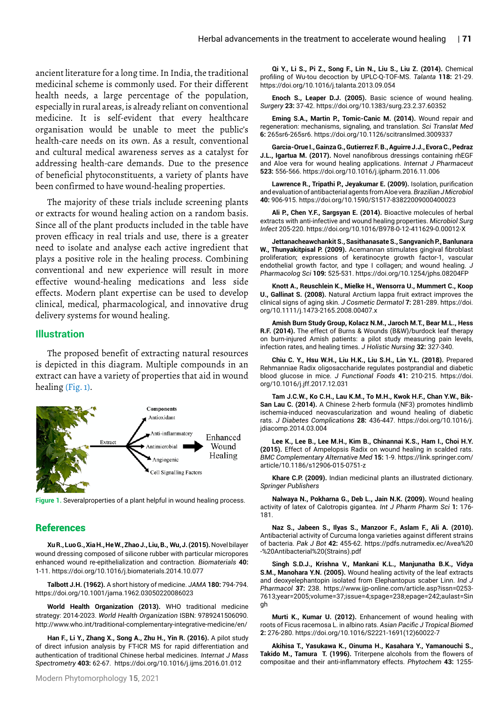ancient literature for a long time. In India, the traditional medicinal scheme is commonly used. For their different health needs, a large percentage of the population, especially in rural areas, is already reliant on conventional medicine. It is self-evident that every healthcare organisation would be unable to meet the public's health-care needs on its own. As a result, conventional and cultural medical awareness serves as a catalyst for addressing health-care demands. Due to the presence of beneficial phytoconstituents, a variety of plants have been confirmed to have wound-healing properties.

The majority of these trials include screening plants or extracts for wound healing action on a random basis. Since all of the plant products included in the table have proven efficacy in real trials and use, there is a greater need to isolate and analyse each active ingredient that plays a positive role in the healing process. Combining conventional and new experience will result in more effective wound-healing medications and less side effects. Modern plant expertise can be used to develop clinical, medical, pharmacological, and innovative drug delivery systems for wound healing.

### **Illustration**

The proposed benefit of extracting natural resources is depicted in this diagram. Multiple compounds in an extract can have a variety of properties that aid in wound healing (Fig. 1).



**Figure 1.** Severalproperties of a plant helpful in wound healing process.

### **References**

**Xu R., Luo G., Xia H., He W., Zhao J., Liu, B., Wu, J. (2015).** Novel bilayer wound dressing composed of silicone rubber with particular micropores enhanced wound re-epithelialization and contraction. *Biomaterials* **40:** 1-11.<https://doi.org/10.1016/j.biomaterials.2014.10.077>

**Talbott J.H. (1962).** A short history of medicine. *JAMA* **180:** 794-794. <https://doi.org/10.1001/jama.1962.03050220086023>

**World Health Organization (2013).** WHO traditional medicine strategy: 2014-2023. *World Health Organization* ISBN: 9789241506090. <http://www.who.int/traditional-complementary-integrative-medicine/en/>

**Han F., Li Y., Zhang X., Song A., Zhu H., Yin R. (2016).** A pilot study of direct infusion analysis by FT-ICR MS for rapid differentiation and authentication of traditional Chinese herbal medicines. *Internat J Mass Spectrometry* **403:** 62-67. https://doi.org/10.1016/j.ijms.2016.01.012

**Qi Y., Li S., Pi Z., Song F., Lin N., Liu S., Liu Z. (2014).** Chemical profiling of Wu-tou decoction by UPLC-Q-TOF-MS. *Talanta* **118:** 21-29. <https://doi.org/10.1016/j.talanta.2013.09.054>

**Enoch S., Leaper D.J. (2005).** Basic science of wound healing. *Surgery* **23:** 37-42. https://doi.org/10.1383/surg.23.2.37.60352

**Eming S.A., Martin P., Tomic-Canic M. (2014).** Wound repair and regeneration: mechanisms, signaling, and translation. *Sci Translat Med* **6:** 265sr6-265sr6. <https://doi.org/10.1126/scitranslmed.3009337>

**Garcia-Orue I., Gainza G., Gutierrez F. B., Aguirre J.J., Evora C., Pedraz J.L., Igartua M. (2017).** Novel nanofibrous dressings containing rhEGF and Aloe vera for wound healing applications. *Internat J Pharmaceut* **523:** 556-566.<https://doi.org/10.1016/j.ijpharm.2016.11.006>

**Lawrence R., Tripathi P., Jeyakumar E. (2009).** Isolation, purification and evaluation of antibacterial agents from Aloe vera. *Brazilian J Microbiol* **40:** 906-915.<https://doi.org/10.1590/S1517-83822009000400023>

**Ali P., Chen Y.F., Sargsyan E. (2014).** Bioactive molecules of herbal extracts with anti-infective and wound healing properties. *Microbiol Surg Infect* 205-220.<https://doi.org/10.1016/B978-0-12-411629-0.00012-X>

**Jettanacheawchankit S., Sasithanasate S., Sangvanich P., Banlunara W., Thunyakitpisal P. (2009).** Acemannan stimulates gingival fibroblast proliferation; expressions of keratinocyte growth factor-1, vascular endothelial growth factor, and type I collagen; and wound healing. *J Pharmacolog Sci* **109:** 525-531.<https://doi.org/10.1254/jphs.08204FP>

**Knott A., Reuschlein K., Mielke H., Wensorra U., Mummert C., Koop U., Gallinat S. (2008).** Natural Arctium lappa fruit extract improves the clinical signs of aging skin. *J Cosmetic Dermatol* **7:** 281-289. [https://doi.](https://doi.org/10.1111/j.1473-2165.2008.00407.x) [org/10.1111/j.1473-2165.2008.00407.x](https://doi.org/10.1111/j.1473-2165.2008.00407.x)

**Amish Burn Study Group, Kolacz N.M., Jaroch M.T., Bear M.L., Hess R.F. (2014).** The effect of Burns & Wounds (B&W)/burdock leaf therapy on burn-injured Amish patients: a pilot study measuring pain levels, infection rates, and healing times. *J Holistic Nursing* **32:** 327-340.

**Chiu C. Y., Hsu W.H., Liu H.K., Liu S.H., Lin Y.L. (2018).** Prepared Rehmanniae Radix oligosaccharide regulates postprandial and diabetic blood glucose in mice. *J Functional Foods* **41:** 210-215. [https://doi.](https://doi.org/10.1016/j.jff.2017.12.031) [org/10.1016/j.jff.2017.12.031](https://doi.org/10.1016/j.jff.2017.12.031)

**Tam J.C.W., Ko C.H., Lau K.M., To M.H., Kwok H.F., Chan Y.W., Bik-San Lau C. (2014).** A Chinese 2-herb formula (NF3) promotes hindlimb ischemia-induced neovascularization and wound healing of diabetic rats. *J Diabetes Complications* **28:** 436-447. [https://doi.org/10.1016/j.](https://doi.org/10.1016/j.jdiacomp.2014.03.004) [jdiacomp.2014.03.004](https://doi.org/10.1016/j.jdiacomp.2014.03.004)

**Lee K., Lee B., Lee M.H., Kim B., Chinannai K.S., Ham I., Choi H.Y. (2015).** Effect of Ampelopsis Radix on wound healing in scalded rats. *BMC Complementary Alternative Med* **15:** 1-9. [https://link.springer.com/](https://link.springer.com/article/10.1186/s12906-015-0751-z) [article/10.1186/s12906-015-0751-z](https://link.springer.com/article/10.1186/s12906-015-0751-z)

**Khare C.P. (2009).** Indian medicinal plants an illustrated dictionary. *Springer Publishers*

**Nalwaya N., Pokharna G., Deb L., Jain N.K. (2009).** Wound healing activity of latex of Calotropis gigantea. *Int J Pharm Pharm Sci* **1:** 176- 181.

**Naz S., Jabeen S., Ilyas S., Manzoor F., Aslam F., Ali A. (2010).**  Antibacterial activity of Curcuma longa varieties against different strains of bacteria. *Pak J Bot* **42:** 455-62. [https://pdfs.nutramedix.ec/Avea%20](https://pdfs.nutramedix.ec/Avea - Antibacterial (Strains).pdf) [-%20Antibacterial%20\(Strains\).pdf](https://pdfs.nutramedix.ec/Avea - Antibacterial (Strains).pdf)

**Singh S.D.J., Krishna V., Mankani K.L., Manjunatha B.K., Vidya S.M., Manohara Y.N. (2005).** Wound healing activity of the leaf extracts and deoxyelephantopin isolated from Elephantopus scaber Linn. *Ind J Pharmacol* **37:** 238. [https://www.ijp-online.com/article.asp?issn=0253-](https://www.ijp-online.com/article.asp?issn=0253-7613;year=2005;volume=37;issue=4;spage=238;epage=242;aulast=Singh) [7613;year=2005;volume=37;issue=4;spage=238;epage=242;aulast=Sin](https://www.ijp-online.com/article.asp?issn=0253-7613;year=2005;volume=37;issue=4;spage=238;epage=242;aulast=Singh) [gh](https://www.ijp-online.com/article.asp?issn=0253-7613;year=2005;volume=37;issue=4;spage=238;epage=242;aulast=Singh)

**Murti K., Kumar U. (2012).** Enhancement of wound healing with roots of Ficus racemosa L. in albino rats. *Asian Pacific J Tropical Biomed* **2:** 276-280. [https://doi.org/10.1016/S2221-1691\(12\)60022-7](https://doi.org/10.1016/S2221-1691(12)60022-7) 

**Akihisa T., Yasukawa K., Oinuma H., Kasahara Y., Yamanouchi S., Takido M., Tamura T. (1996).** Triterpene alcohols from the flowers of compositae and their anti-inflammatory effects. *Phytochem* **43:** 1255